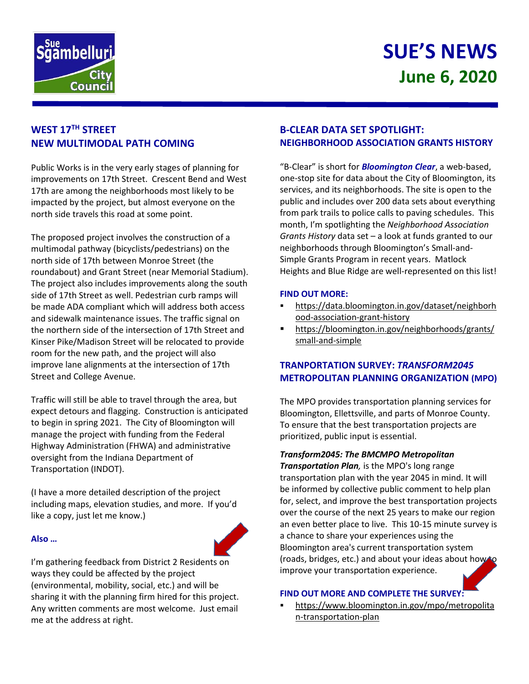

# **SUE'S NEWS June 6, 2020**

## **WEST 17TH STREET NEW MULTIMODAL PATH COMING**

Public Works is in the very early stages of planning for improvements on 17th Street. Crescent Bend and West 17th are among the neighborhoods most likely to be impacted by the project, but almost everyone on the north side travels this road at some point.

The proposed project involves the construction of a multimodal pathway (bicyclists/pedestrians) on the north side of 17th between Monroe Street (the roundabout) and Grant Street (near Memorial Stadium). The project also includes improvements along the south side of 17th Street as well. Pedestrian curb ramps will be made ADA compliant which will address both access and sidewalk maintenance issues. The traffic signal on the northern side of the intersection of 17th Street and Kinser Pike/Madison Street will be relocated to provide room for the new path, and the project will also improve lane alignments at the intersection of 17th Street and College Avenue.

Traffic will still be able to travel through the area, but expect detours and flagging. Construction is anticipated to begin in spring 2021. The City of Bloomington will manage the project with funding from the Federal Highway Administration (FHWA) and administrative oversight from the Indiana Department of Transportation (INDOT).

(I have a more detailed description of the project including maps, elevation studies, and more. If you'd like a copy, just let me know.)

#### **Also …**



I'm gathering feedback from District 2 Residents on ways they could be affected by the project (environmental, mobility, social, etc.) and will be sharing it with the planning firm hired for this project. Any written comments are most welcome. Just email me at the address at right.

## **B-CLEAR DATA SET SPOTLIGHT: NEIGHBORHOOD ASSOCIATION GRANTS HISTORY**

"B-Clear" is short for *Bloomington Clear*, a web-based, one-stop site for data about the City of Bloomington, its services, and its neighborhoods. The site is open to the public and includes over 200 data sets about everything from park trails to police calls to paving schedules. This month, I'm spotlighting the *Neighborhood Association Grants History* data set – a look at funds granted to our neighborhoods through Bloomington's Small-and-Simple Grants Program in recent years. Matlock Heights and Blue Ridge are well-represented on this list!

#### **FIND OUT MORE:**

- [https://data.bloomington.in.gov/dataset/neighborh](https://data.bloomington.in.gov/dataset/neighborhood-association-grant-history) [ood-association-grant-history](https://data.bloomington.in.gov/dataset/neighborhood-association-grant-history)
- [https://bloomington.in.gov/neighborhoods/grants/](https://bloomington.in.gov/neighborhoods/grants/small-and-simple) [small-and-simple](https://bloomington.in.gov/neighborhoods/grants/small-and-simple)

## **TRANPORTATION SURVEY:** *TRANSFORM2045* **METROPOLITAN PLANNING ORGANIZATION (MPO)**

The MPO provides transportation planning services for Bloomington, Ellettsville, and parts of Monroe County. To ensure that the best transportation projects are prioritized, public input is essential.

#### *Transform2045: The BMCMPO Metropolitan*

*Transportation Plan,* is the MPO's long range transportation plan with the year 2045 in mind. It will be informed by collective public comment to help plan for, select, and improve the best transportation projects over the course of the next 25 years to make our region an even better place to live. This 10-15 minute survey is a chance to share your experiences using the Bloomington area's current transportation system (roads, bridges, etc.) and about your ideas about how to improve your transportation experience.

#### **FIND OUT MORE AND COMPLETE THE SURVEY:**

 https://www.bloomington.in.gov/mpo/metropolita n-transportation-plan